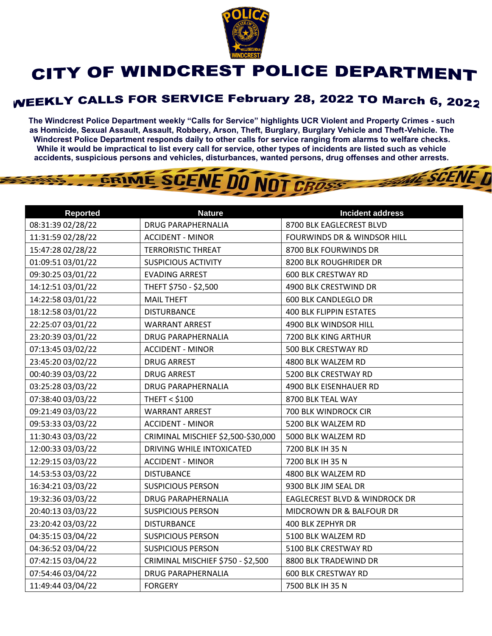

## CITY OF WINDCREST POLICE DEPARTMENT

## **WEEKLY CALLS FOR SERVICE February 28, 2022 TO March 6, 2022**

**The Windcrest Police Department weekly "Calls for Service" highlights UCR Violent and Property Crimes - such as Homicide, Sexual Assault, Assault, Robbery, Arson, Theft, Burglary, Burglary Vehicle and Theft-Vehicle. The Windcrest Police Department responds daily to other calls for service ranging from alarms to welfare checks. While it would be impractical to list every call for service, other types of incidents are listed such as vehicle accidents, suspicious persons and vehicles, disturbances, wanted persons, drug offenses and other arrests.** 

**THE SCENE D** 

## GRIME SCENE DO NOT CROSS

| <b>Reported</b>   | <b>Nature</b>                      | <b>Incident address</b>                  |
|-------------------|------------------------------------|------------------------------------------|
| 08:31:39 02/28/22 | <b>DRUG PARAPHERNALIA</b>          | 8700 BLK EAGLECREST BLVD                 |
| 11:31:59 02/28/22 | <b>ACCIDENT - MINOR</b>            | FOURWINDS DR & WINDSOR HILL              |
| 15:47:28 02/28/22 | <b>TERRORISTIC THREAT</b>          | 8700 BLK FOURWINDS DR                    |
| 01:09:51 03/01/22 | <b>SUSPICIOUS ACTIVITY</b>         | 8200 BLK ROUGHRIDER DR                   |
| 09:30:25 03/01/22 | <b>EVADING ARREST</b>              | <b>600 BLK CRESTWAY RD</b>               |
| 14:12:51 03/01/22 | THEFT \$750 - \$2,500              | 4900 BLK CRESTWIND DR                    |
| 14:22:58 03/01/22 | <b>MAIL THEFT</b>                  | <b>600 BLK CANDLEGLO DR</b>              |
| 18:12:58 03/01/22 | <b>DISTURBANCE</b>                 | <b>400 BLK FLIPPIN ESTATES</b>           |
| 22:25:07 03/01/22 | <b>WARRANT ARREST</b>              | 4900 BLK WINDSOR HILL                    |
| 23:20:39 03/01/22 | <b>DRUG PARAPHERNALIA</b>          | 7200 BLK KING ARTHUR                     |
| 07:13:45 03/02/22 | <b>ACCIDENT - MINOR</b>            | 500 BLK CRESTWAY RD                      |
| 23:45:20 03/02/22 | <b>DRUG ARREST</b>                 | 4800 BLK WALZEM RD                       |
| 00:40:39 03/03/22 | <b>DRUG ARREST</b>                 | 5200 BLK CRESTWAY RD                     |
| 03:25:28 03/03/22 | <b>DRUG PARAPHERNALIA</b>          | 4900 BLK EISENHAUER RD                   |
| 07:38:40 03/03/22 | <b>THEFT &lt; \$100</b>            | 8700 BLK TEAL WAY                        |
| 09:21:49 03/03/22 | <b>WARRANT ARREST</b>              | 700 BLK WINDROCK CIR                     |
| 09:53:33 03/03/22 | <b>ACCIDENT - MINOR</b>            | 5200 BLK WALZEM RD                       |
| 11:30:43 03/03/22 | CRIMINAL MISCHIEF \$2,500-\$30,000 | 5000 BLK WALZEM RD                       |
| 12:00:33 03/03/22 | DRIVING WHILE INTOXICATED          | 7200 BLK IH 35 N                         |
| 12:29:15 03/03/22 | <b>ACCIDENT - MINOR</b>            | 7200 BLK IH 35 N                         |
| 14:53:53 03/03/22 | <b>DISTUBANCE</b>                  | 4800 BLK WALZEM RD                       |
| 16:34:21 03/03/22 | <b>SUSPICIOUS PERSON</b>           | 9300 BLK JIM SEAL DR                     |
| 19:32:36 03/03/22 | <b>DRUG PARAPHERNALIA</b>          | <b>EAGLECREST BLVD &amp; WINDROCK DR</b> |
| 20:40:13 03/03/22 | <b>SUSPICIOUS PERSON</b>           | MIDCROWN DR & BALFOUR DR                 |
| 23:20:42 03/03/22 | <b>DISTURBANCE</b>                 | 400 BLK ZEPHYR DR                        |
| 04:35:15 03/04/22 | <b>SUSPICIOUS PERSON</b>           | 5100 BLK WALZEM RD                       |
| 04:36:52 03/04/22 | <b>SUSPICIOUS PERSON</b>           | 5100 BLK CRESTWAY RD                     |
| 07:42:15 03/04/22 | CRIMINAL MISCHIEF \$750 - \$2,500  | 8800 BLK TRADEWIND DR                    |
| 07:54:46 03/04/22 | <b>DRUG PARAPHERNALIA</b>          | <b>600 BLK CRESTWAY RD</b>               |
| 11:49:44 03/04/22 | <b>FORGERY</b>                     | 7500 BLK IH 35 N                         |